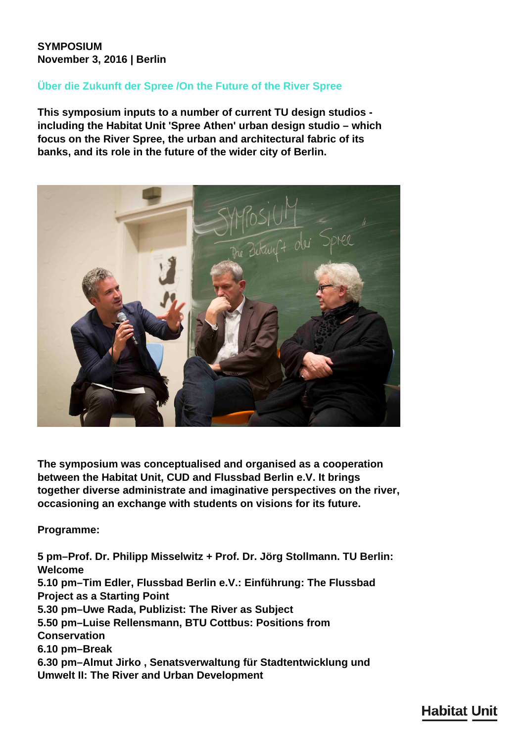## **SYMPOSIUM November 3, 2016 | Berlin**

## **Über die Zukunft der Spree /On the Future of the River Spree**

**This symposium inputs to a number of current TU design studios including the Habitat Unit 'Spree Athen' urban design studio – which focus on the River Spree, the urban and architectural fabric of its banks, and its role in the future of the wider city of Berlin.**



**The symposium was conceptualised and organised as a cooperation between the Habitat Unit, CUD and Flussbad Berlin e.V. It brings together diverse administrate and imaginative perspectives on the river, occasioning an exchange with students on visions for its future.**

**Programme:**

**5 pm–Prof. Dr. Philipp Misselwitz + Prof. Dr. Jörg Stollmann. TU Berlin: Welcome 5.10 pm–Tim Edler, Flussbad Berlin e.V.: Einführung: The Flussbad Project as a Starting Point 5.30 pm–Uwe Rada, Publizist: The River as Subject 5.50 pm–Luise Rellensmann, BTU Cottbus: Positions from Conservation 6.10 pm–Break 6.30 pm–Almut Jirko , Senatsverwaltung für Stadtentwicklung und Umwelt II: The River and Urban Development**